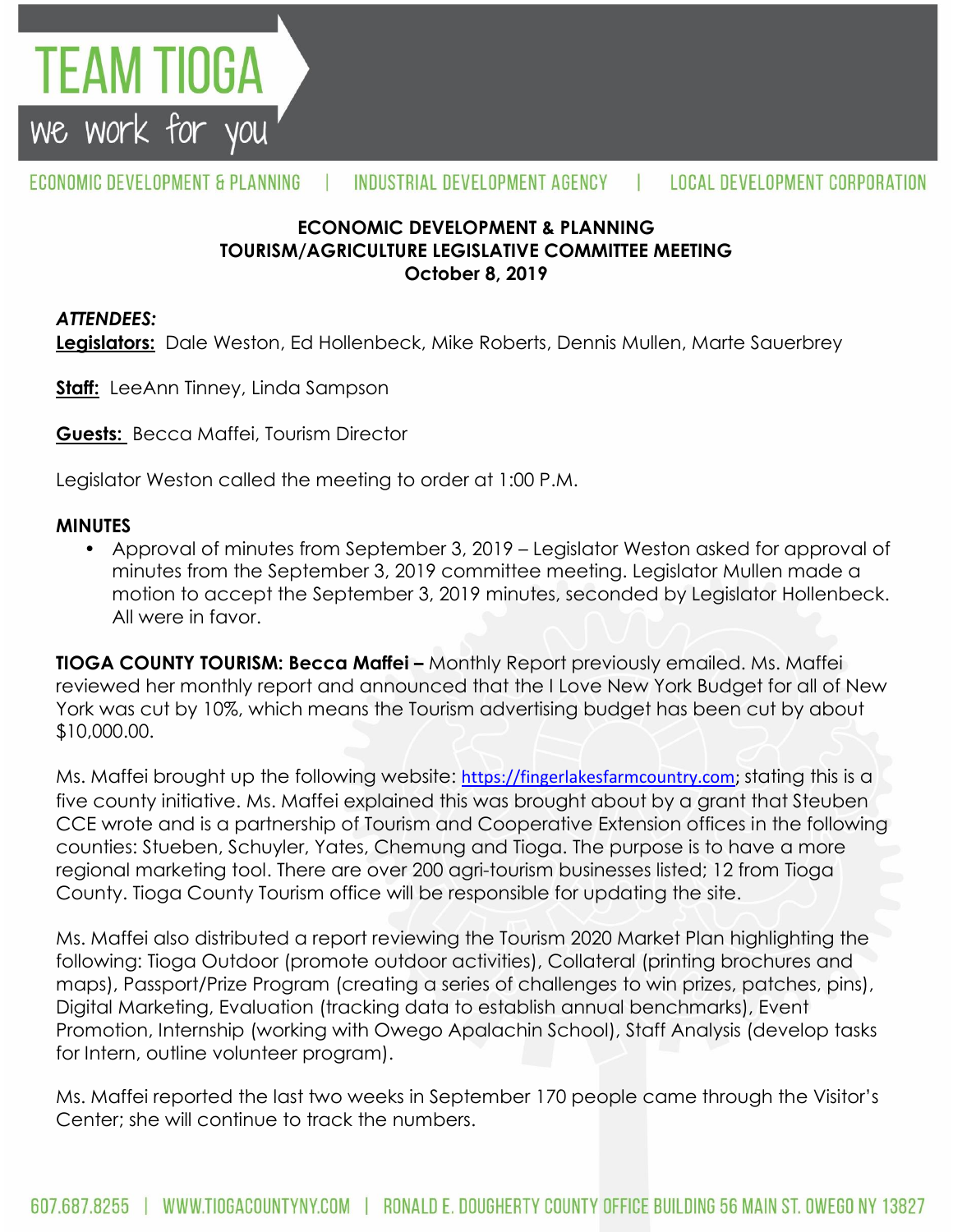

## **ECONOMIC DEVELOPMENT & PLANNING TOURISM/AGRICULTURE LEGISLATIVE COMMITTEE MEETING October 8, 2019**

## *ATTENDEES:*

TEAM TIOGA

we work for you

**Legislators:** Dale Weston, Ed Hollenbeck, Mike Roberts, Dennis Mullen, Marte Sauerbrey

**Staff:** LeeAnn Tinney, Linda Sampson

**Guests:** Becca Maffei, Tourism Director

Legislator Weston called the meeting to order at 1:00 P.M.

#### **MINUTES**

• Approval of minutes from September 3, 2019 – Legislator Weston asked for approval of minutes from the September 3, 2019 committee meeting. Legislator Mullen made a motion to accept the September 3, 2019 minutes, seconded by Legislator Hollenbeck. All were in favor.

**TIOGA COUNTY TOURISM: Becca Maffei -** Monthly Report previously emailed. Ms. Maffei reviewed her monthly report and announced that the I Love New York Budget for all of New York was cut by 10%, which means the Tourism advertising budget has been cut by about \$10,000.00.

Ms. Maffei brought up the following website: [https://fingerlakesfarmcountry.com;](https://fingerlakesfarmcountry.com/) stating this is a five county initiative. Ms. Maffei explained this was brought about by a grant that Steuben CCE wrote and is a partnership of Tourism and Cooperative Extension offices in the following counties: Stueben, Schuyler, Yates, Chemung and Tioga. The purpose is to have a more regional marketing tool. There are over 200 agri-tourism businesses listed; 12 from Tioga County. Tioga County Tourism office will be responsible for updating the site.

Ms. Maffei also distributed a report reviewing the Tourism 2020 Market Plan highlighting the following: Tioga Outdoor (promote outdoor activities), Collateral (printing brochures and maps), Passport/Prize Program (creating a series of challenges to win prizes, patches, pins), Digital Marketing, Evaluation (tracking data to establish annual benchmarks), Event Promotion, Internship (working with Owego Apalachin School), Staff Analysis (develop tasks for Intern, outline volunteer program).

Ms. Maffei reported the last two weeks in September 170 people came through the Visitor's Center; she will continue to track the numbers.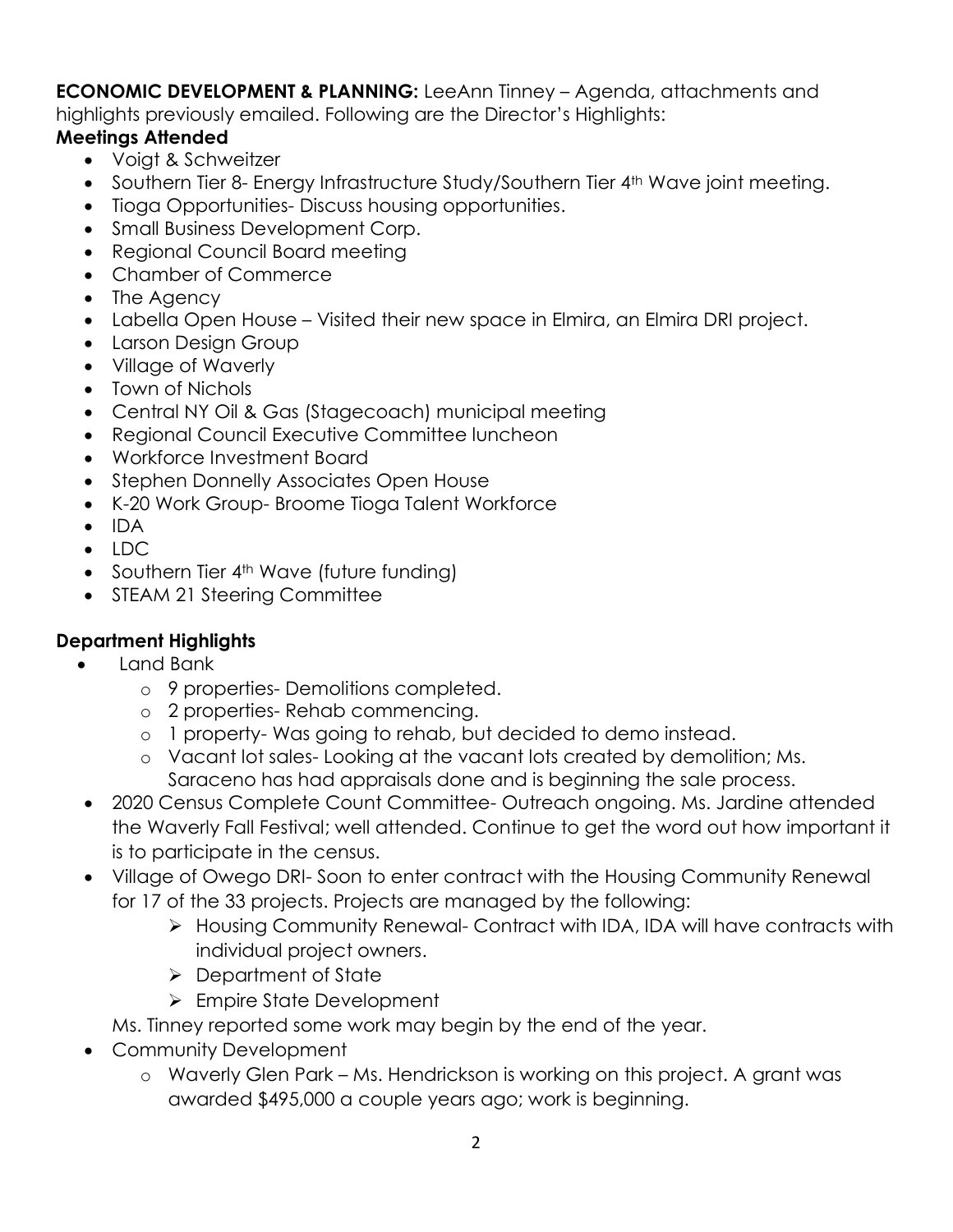**ECONOMIC DEVELOPMENT & PLANNING:** LeeAnn Tinney – Agenda, attachments and highlights previously emailed. Following are the Director's Highlights:

# **Meetings Attended**

- Voigt & Schweitzer
- Southern Tier 8- Energy Infrastructure Study/Southern Tier 4<sup>th</sup> Wave joint meeting.
- Tioga Opportunities-Discuss housing opportunities.
- Small Business Development Corp.
- Regional Council Board meeting
- Chamber of Commerce
- The Agency
- Labella Open House Visited their new space in Elmira, an Elmira DRI project.
- Larson Design Group
- Village of Waverly
- Town of Nichols
- Central NY Oil & Gas (Stagecoach) municipal meeting
- Regional Council Executive Committee luncheon
- Workforce Investment Board
- Stephen Donnelly Associates Open House
- K-20 Work Group- Broome Tioga Talent Workforce
- $\bullet$  IDA
- LDC
- Southern Tier 4<sup>th</sup> Wave (future funding)
- STEAM 21 Steering Committee

# **Department Highlights**

- Land Bank
	- o 9 properties- Demolitions completed.
	- o 2 properties- Rehab commencing.
	- o 1 property- Was going to rehab, but decided to demo instead.
	- o Vacant lot sales- Looking at the vacant lots created by demolition; Ms. Saraceno has had appraisals done and is beginning the sale process.
- 2020 Census Complete Count Committee- Outreach ongoing. Ms. Jardine attended the Waverly Fall Festival; well attended. Continue to get the word out how important it is to participate in the census.
- Village of Owego DRI- Soon to enter contract with the Housing Community Renewal for 17 of the 33 projects. Projects are managed by the following:
	- Housing Community Renewal- Contract with IDA, IDA will have contracts with individual project owners.
	- Department of State
	- **► Empire State Development**
	- Ms. Tinney reported some work may begin by the end of the year.
- Community Development
	- o Waverly Glen Park Ms. Hendrickson is working on this project. A grant was awarded \$495,000 a couple years ago; work is beginning.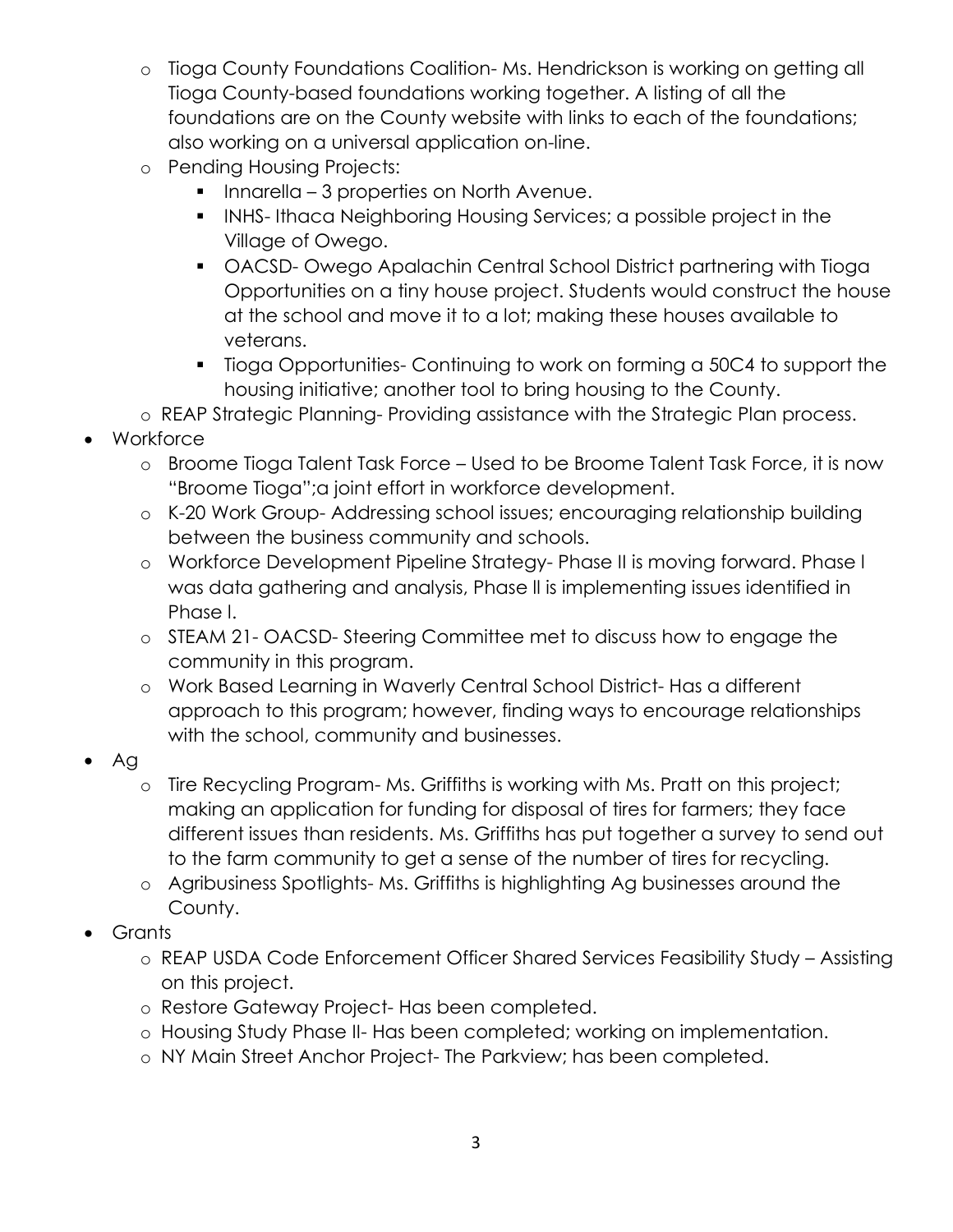- o Tioga County Foundations Coalition- Ms. Hendrickson is working on getting all Tioga County-based foundations working together. A listing of all the foundations are on the County website with links to each of the foundations; also working on a universal application on-line.
- o Pending Housing Projects:
	- **Innarella 3 properties on North Avenue.**
	- **INHS-Ithaca Neighboring Housing Services; a possible project in the** Village of Owego.
	- OACSD- Owego Apalachin Central School District partnering with Tioga Opportunities on a tiny house project. Students would construct the house at the school and move it to a lot; making these houses available to veterans.
	- Tioga Opportunities- Continuing to work on forming a 50C4 to support the housing initiative; another tool to bring housing to the County.
- o REAP Strategic Planning- Providing assistance with the Strategic Plan process.
- Workforce
	- o Broome Tioga Talent Task Force Used to be Broome Talent Task Force, it is now "Broome Tioga";a joint effort in workforce development.
	- o K-20 Work Group- Addressing school issues; encouraging relationship building between the business community and schools.
	- o Workforce Development Pipeline Strategy- Phase II is moving forward. Phase l was data gathering and analysis, Phase ll is implementing issues identified in Phase l.
	- o STEAM 21- OACSD- Steering Committee met to discuss how to engage the community in this program.
	- o Work Based Learning in Waverly Central School District- Has a different approach to this program; however, finding ways to encourage relationships with the school, community and businesses.
- Ag
	- o Tire Recycling Program- Ms. Griffiths is working with Ms. Pratt on this project; making an application for funding for disposal of tires for farmers; they face different issues than residents. Ms. Griffiths has put together a survey to send out to the farm community to get a sense of the number of tires for recycling.
	- o Agribusiness Spotlights- Ms. Griffiths is highlighting Ag businesses around the County.
- Grants
	- o REAP USDA Code Enforcement Officer Shared Services Feasibility Study Assisting on this project.
	- o Restore Gateway Project- Has been completed.
	- o Housing Study Phase II- Has been completed; working on implementation.
	- o NY Main Street Anchor Project- The Parkview; has been completed.